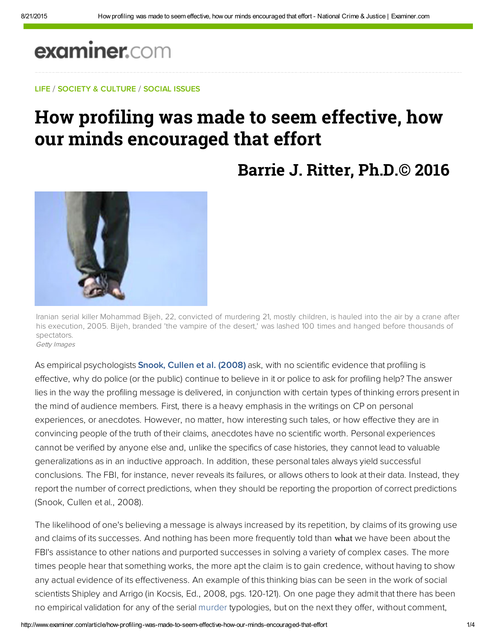# examiner.com

### LIFE / SOCIETY & CULTURE / SOCIAL ISSUES

## How profiling was made to seem effective, how our **minds** encouraged that effort

### **Barrie J. Ritter, Ph.D.© 2016**



Iranian serial killer Mohammad Bijeh, 22, convicted of murdering 21, mostly children, is hauled into the air by a crane after his execution, 2005. Bijeh, branded 'the vampire of the desert,' was lashed 100 times and hanged before thousands of spectators. Getty Images

As empirical psychologists [Snook, Cullen et al. \(2008\)](http://bit.ly/ILqpwC) ask, with no scientific evidence that profiling is effective, why do police (or the public) continue to believe in it or police to ask for profiling help? The answer lies in the way the profiling message is delivered, in conjunction with certain types of thinking errors present in the mind of audience members. First, there is a heavy emphasis in the writings on CP on personal experiences, or anecdotes. However, no matter, how interesting such tales, or how effective they are in convincing people of the truth of their claims, anecdotes have no scientific worth. Personal experiences cannot be verified by anyone else and, unlike the specifics of case histories, they cannot lead to valuable generalizations as in an inductive approach. In addition, these personal tales always yield successful conclusions. The FBI, for instance, never reveals its failures, or allows others to look at their data. Instead, they report the number of correct predictions, when they should be reporting the proportion of correct predictions (Snook, Cullen et al., 2008).

The likelihood of one's believing a message is always increased by its repetition, by claims of its growing use and claims of its successes. And nothing has been more frequently told than what we have been about the FBI's assistance to other nations and purported successes in solving a variety of complex cases. The more times people hear that something works, the more apt the claim is to gain credence, without having to show any actual evidence of its effectiveness. An example of this thinking bias can be seen in the work of social scientists Shipley and Arrigo (in Kocsis, Ed., 2008, pgs. 120-121). On one page they admit that there has been no empirical validation for any of the serial murder typologies, but on the next they offer, without comment,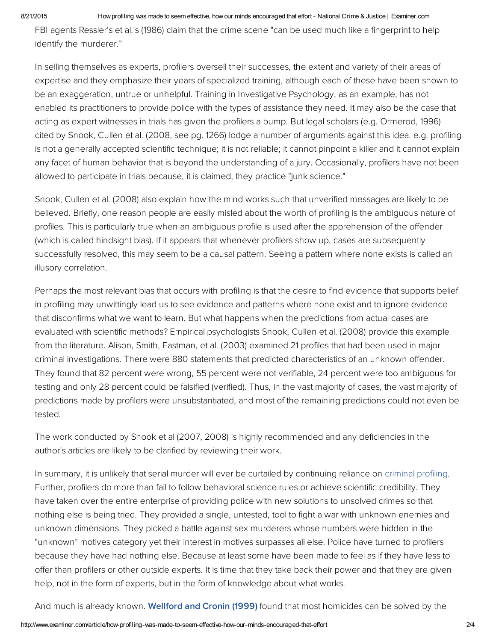#### 8/21/2015 How profiling was made to seem effective, how our minds encouraged that effort - National Crime & Justice | Examiner.com

FBI agents Ressler's et al.'s (1986) claim that the crime scene "can be used much like a fingerprint to help identify the murderer."

In selling themselves as experts, profilers oversell their successes, the extent and variety of their areas of expertise and they emphasize their years of specialized training, although each of these have been shown to be an exaggeration, untrue or unhelpful. Training in Investigative Psychology, as an example, has not enabled its practitioners to provide police with the types of assistance they need. It may also be the case that acting as expert witnesses in trials has given the profilers a bump. But legal scholars (e.g. Ormerod, 1996) cited by Snook, Cullen et al. (2008, see pg. 1266) lodge a number of arguments against this idea. e.g. profiling is not a generally accepted scientific technique; it is not reliable; it cannot pinpoint a killer and it cannot explain any facet of human behavior that is beyond the understanding of a jury. Occasionally, profilers have not been allowed to participate in trials because, it is claimed, they practice "junk science."

Snook, Cullen et al. (2008) also explain how the mind works such that unverified messages are likely to be believed. Briefly, one reason people are easily misled about the worth of profiling is the ambiguous nature of profiles. This is particularly true when an ambiguous profile is used after the apprehension of the offender (which is called hindsight bias). If it appears that whenever profilers show up, cases are subsequently successfully resolved, this may seem to be a causal pattern. Seeing a pattern where none exists is called an illusory correlation.

Perhaps the most relevant bias that occurs with profiling is that the desire to find evidence that supports belief in profiling may unwittingly lead us to see evidence and patterns where none exist and to ignore evidence that disconfirms what we want to learn. But what happens when the predictions from actual cases are evaluated with scientific methods? Empirical psychologists Snook, Cullen et al. (2008) provide this example from the literature. Alison, Smith, Eastman, et al. (2003) examined 21 profiles that had been used in major criminal investigations. There were 880 statements that predicted characteristics of an unknown offender. They found that 82 percent were wrong, 55 percent were not verifiable, 24 percent were too ambiguous for testing and only 28 percent could be falsified (verified). Thus, in the vast majority of cases, the vast majority of predictions made by profilers were unsubstantiated, and most of the remaining predictions could not even be tested.

The work conducted by Snook et al (2007, 2008) is highly recommended and any deficiencies in the author's articles are likely to be clarified by reviewing their work.

In summary, it is unlikely that serial murder will ever be curtailed by continuing reliance on criminal profiling. Further, profilers do more than fail to follow behavioral science rules or achieve scientific credibility. They have taken over the entire enterprise of providing police with new solutions to unsolved crimes so that nothing else is being tried. They provided a single, untested, tool to fight a war with unknown enemies and unknown dimensions. They picked a battle against sex murderers whose numbers were hidden in the "unknown" motives category yet their interest in motives surpasses all else. Police have turned to profilers because they have had nothing else. Because at least some have been made to feel as if they have less to offer than profilers or other outside experts. It is time that they take back their power and that they are given help, not in the form of experts, but in the form of knowledge about what works.

And much is already known. [Wellford](http://1.usa.gov/J5qsEG) and Cronin (1999) found that most homicides can be solved by the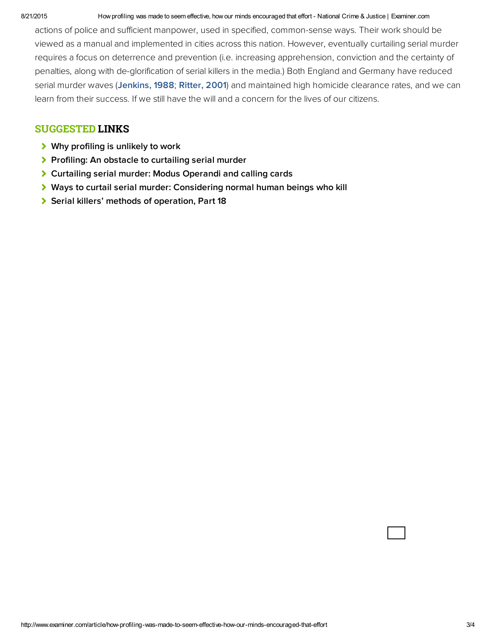#### 8/21/2015 How profiling was made to seem effective, how our minds encouraged that effort - National Crime & Justice | Examiner.com

actions of police and sufficient manpower, used in specified, common-sense ways. Their work should be viewed as a manual and implemented in cities across this nation. However, eventually curtailing serial murder requires a focus on deterrence and prevention (i.e. increasing apprehension, conviction and the certainty of penalties, along with de-glorification of serial killers in the media.) Both England and Germany have reduced serial murder waves ([Jenkins, 1988](http://bit.ly/1ku10UD); [Ritter, 2001\)](https://books.google.com/books?id=ulmJAAAACAAJ&dq=%22Proceedings+of+Homicide+Research+Working+Group+Meetings%22&hl=en&sa=X&ved=0ahUKEwjD-rvxzd7PAhUP84MKHXeUAbQQ6AEIHjAA) and maintained high homicide clearance rates, and we can learn from their success. If we still have the will and a concern for the lives of our citizens.

### SUGGESTED LINKS

- ◆ [Why profiling is unlikely to work](http://www.ritterhomicideresearch.com/articles/Why-criminal-profiling-is-unlikely-to-work.pdf)
- [Profiling: An obstacle to curtailing serial murder](http://www.ritterhomicideresearch.com/articles/Profiling_An-obstacle-to-curtailing-Serial-Murder.pdf)
- [Curtailing serial murder: Modus Operandi and calling cards](http://www.ritterhomicideresearch.com/articles/Curtailing-Serial-Murder.pdf)
- [Ways to curtail serial murder: Considering normal human beings who kill](http://www.ritterhomicideresearch.com/articles/Ways-to-curtail-Serial-Murder_normal-humans-who-kill.pdf)
- [Serial killers' methods of operation, Part 18](http://www.ritterhomicideresearch.com/articles/Part-18.pdf)